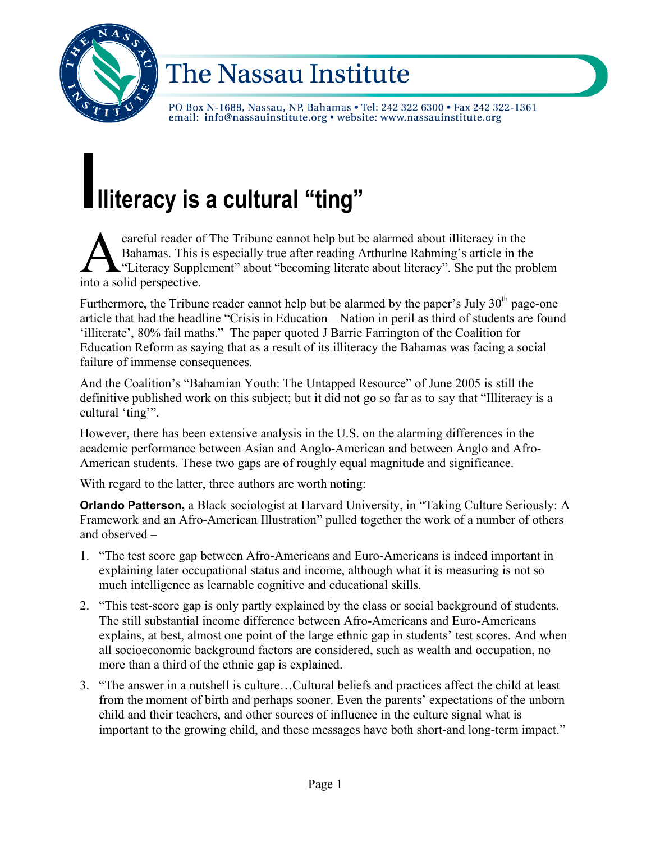

# The Nassau Institute

PO Box N-1688, Nassau, NP, Bahamas . Tel: 242 322 6300 . Fax 242 322-1361 email: info@nassauinstitute.org • website: www.nassauinstitute.org

# **Illiteracy is <sup>a</sup> cultural "ting"**

careful reader of The Tribune cannot help but be alarmed about illiteracy in the Bahamas. This is especially true after reading Arthurlne Rahming's article in the "Literacy Supplement" about "becoming literate about literacy". She put the problem **A** careful reader of<br>Bahamas. This<br>into a solid perspective.

Furthermore, the Tribune reader cannot help but be alarmed by the paper's July  $30<sup>th</sup>$  page-one article that had the headline "Crisis in Education – Nation in peril as third of students are found 'illiterate', 80% fail maths." The paper quoted J Barrie Farrington of the Coalition for Education Reform as saying that as a result of its illiteracy the Bahamas was facing a social failure of immense consequences.

And the Coalition's "Bahamian Youth: The Untapped Resource" of June 2005 is still the definitive published work on this subject; but it did not go so far as to say that "Illiteracy is a cultural 'ting'".

However, there has been extensive analysis in the U.S. on the alarming differences in the academic performance between Asian and Anglo-American and between Anglo and Afro-American students. These two gaps are of roughly equal magnitude and significance.

With regard to the latter, three authors are worth noting:

**Orlando Patterson,** a Black sociologist at Harvard University, in "Taking Culture Seriously: A Framework and an Afro-American Illustration" pulled together the work of a number of others and observed –

- 1. "The test score gap between Afro-Americans and Euro-Americans is indeed important in explaining later occupational status and income, although what it is measuring is not so much intelligence as learnable cognitive and educational skills.
- 2. "This test-score gap is only partly explained by the class or social background of students. The still substantial income difference between Afro-Americans and Euro-Americans explains, at best, almost one point of the large ethnic gap in students' test scores. And when all socioeconomic background factors are considered, such as wealth and occupation, no more than a third of the ethnic gap is explained.
- 3. "The answer in a nutshell is culture…Cultural beliefs and practices affect the child at least from the moment of birth and perhaps sooner. Even the parents' expectations of the unborn child and their teachers, and other sources of influence in the culture signal what is important to the growing child, and these messages have both short-and long-term impact."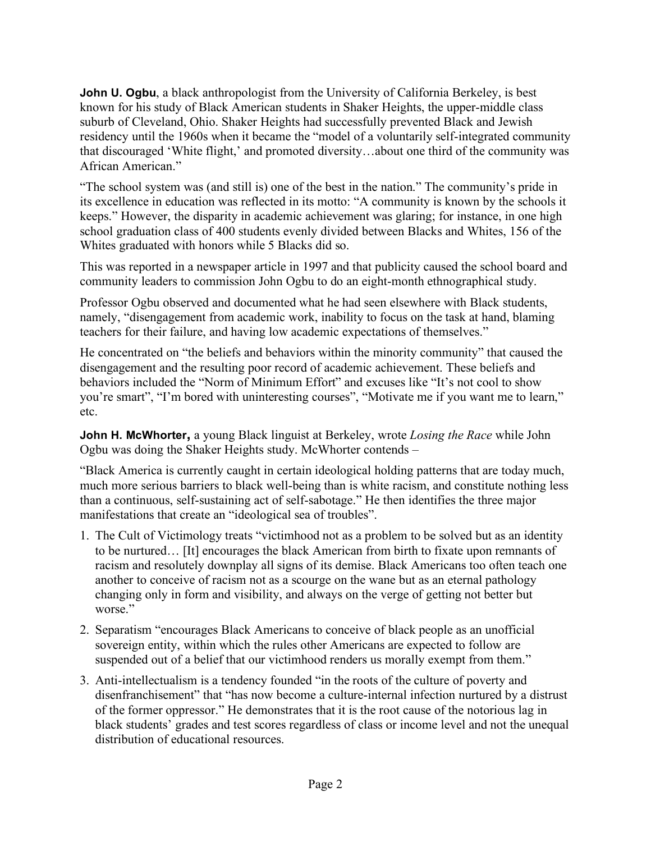**John U. Ogbu**, a black anthropologist from the University of California Berkeley, is best known for his study of Black American students in Shaker Heights, the upper-middle class suburb of Cleveland, Ohio. Shaker Heights had successfully prevented Black and Jewish residency until the 1960s when it became the "model of a voluntarily self-integrated community that discouraged 'White flight,' and promoted diversity…about one third of the community was African American."

"The school system was (and still is) one of the best in the nation." The community's pride in its excellence in education was reflected in its motto: "A community is known by the schools it keeps." However, the disparity in academic achievement was glaring; for instance, in one high school graduation class of 400 students evenly divided between Blacks and Whites, 156 of the Whites graduated with honors while 5 Blacks did so.

This was reported in a newspaper article in 1997 and that publicity caused the school board and community leaders to commission John Ogbu to do an eight-month ethnographical study.

Professor Ogbu observed and documented what he had seen elsewhere with Black students, namely, "disengagement from academic work, inability to focus on the task at hand, blaming teachers for their failure, and having low academic expectations of themselves."

He concentrated on "the beliefs and behaviors within the minority community" that caused the disengagement and the resulting poor record of academic achievement. These beliefs and behaviors included the "Norm of Minimum Effort" and excuses like "It's not cool to show you're smart", "I'm bored with uninteresting courses", "Motivate me if you want me to learn," etc.

**John H. McWhorter,** a young Black linguist at Berkeley, wrote *Losing the Race* while John Ogbu was doing the Shaker Heights study. McWhorter contends –

"Black America is currently caught in certain ideological holding patterns that are today much, much more serious barriers to black well-being than is white racism, and constitute nothing less than a continuous, self-sustaining act of self-sabotage." He then identifies the three major manifestations that create an "ideological sea of troubles".

- 1. The Cult of Victimology treats "victimhood not as a problem to be solved but as an identity to be nurtured… [It] encourages the black American from birth to fixate upon remnants of racism and resolutely downplay all signs of its demise. Black Americans too often teach one another to conceive of racism not as a scourge on the wane but as an eternal pathology changing only in form and visibility, and always on the verge of getting not better but worse."
- 2. Separatism "encourages Black Americans to conceive of black people as an unofficial sovereign entity, within which the rules other Americans are expected to follow are suspended out of a belief that our victimhood renders us morally exempt from them."
- 3. Anti-intellectualism is a tendency founded "in the roots of the culture of poverty and disenfranchisement" that "has now become a culture-internal infection nurtured by a distrust of the former oppressor." He demonstrates that it is the root cause of the notorious lag in black students' grades and test scores regardless of class or income level and not the unequal distribution of educational resources.